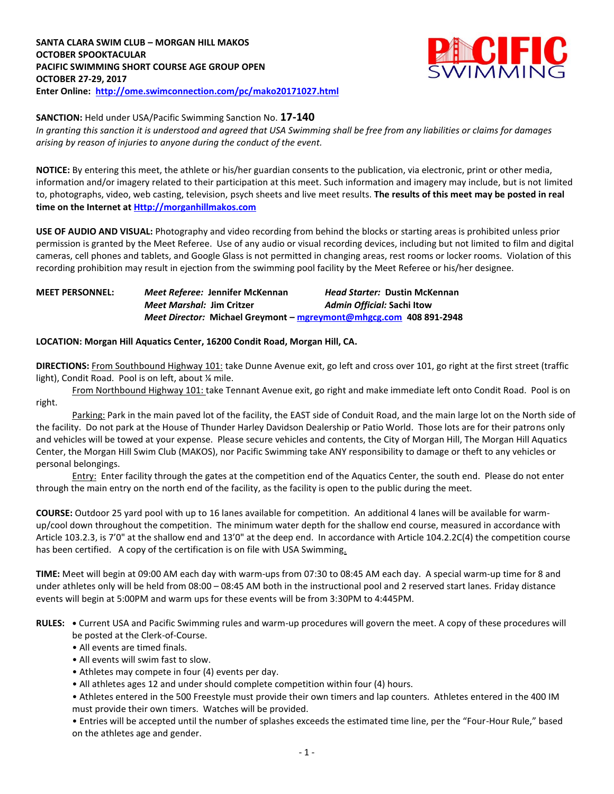

**SANCTION:** Held under USA/Pacific Swimming Sanction No. **17-140**

*In granting this sanction it is understood and agreed that USA Swimming shall be free from any liabilities or claims for damages arising by reason of injuries to anyone during the conduct of the event.*

**NOTICE:** By entering this meet, the athlete or his/her guardian consents to the publication, via electronic, print or other media, information and/or imagery related to their participation at this meet. Such information and imagery may include, but is not limited to, photographs, video, web casting, television, psych sheets and live meet results. **The results of this meet may be posted in real time on the Internet a[t Http://morganhillmakos.com](http://morganhillmakos.com/)**

**USE OF AUDIO AND VISUAL:** Photography and video recording from behind the blocks or starting areas is prohibited unless prior permission is granted by the Meet Referee. Use of any audio or visual recording devices, including but not limited to film and digital cameras, cell phones and tablets, and Google Glass is not permitted in changing areas, rest rooms or locker rooms. Violation of this recording prohibition may result in ejection from the swimming pool facility by the Meet Referee or his/her designee.

**MEET PERSONNEL:** *Meet Referee:* **Jennifer McKennan** *Head Starter:* **Dustin McKennan** *Meet Marshal:* **Jim Critzer** *Admin Official:* **Sachi Itow** *Meet Director:* **Michael Greymont – [mgreymont@mhgcg.com](mailto:mgreymont@mhgcg.com) 408 891-2948**

## **LOCATION: Morgan Hill Aquatics Center, 16200 Condit Road, Morgan Hill, CA.**

**DIRECTIONS:** From Southbound Highway 101: take Dunne Avenue exit, go left and cross over 101, go right at the first street (traffic light), Condit Road. Pool is on left, about ¼ mile.

From Northbound Highway 101: take Tennant Avenue exit, go right and make immediate left onto Condit Road. Pool is on right.

Parking: Park in the main paved lot of the facility, the EAST side of Conduit Road, and the main large lot on the North side of the facility. Do not park at the House of Thunder Harley Davidson Dealership or Patio World. Those lots are for their patrons only and vehicles will be towed at your expense. Please secure vehicles and contents, the City of Morgan Hill, The Morgan Hill Aquatics Center, the Morgan Hill Swim Club (MAKOS), nor Pacific Swimming take ANY responsibility to damage or theft to any vehicles or personal belongings.

Entry: Enter facility through the gates at the competition end of the Aquatics Center, the south end. Please do not enter through the main entry on the north end of the facility, as the facility is open to the public during the meet.

**COURSE:** Outdoor 25 yard pool with up to 16 lanes available for competition. An additional 4 lanes will be available for warmup/cool down throughout the competition. The minimum water depth for the shallow end course, measured in accordance with Article 103.2.3, is 7'0" at the shallow end and 13'0" at the deep end. In accordance with Article 104.2.2C(4) the competition course has been certified. A copy of the certification is on file with USA Swimming.

**TIME:** Meet will begin at 09:00 AM each day with warm-ups from 07:30 to 08:45 AM each day. A special warm-up time for 8 and under athletes only will be held from 08:00 – 08:45 AM both in the instructional pool and 2 reserved start lanes. Friday distance events will begin at 5:00PM and warm ups for these events will be from 3:30PM to 4:445PM.

**RULES: •** Current USA and Pacific Swimming rules and warm-up procedures will govern the meet. A copy of these procedures will be posted at the Clerk-of-Course.

- All events are timed finals.
- All events will swim fast to slow.
- Athletes may compete in four (4) events per day.
- All athletes ages 12 and under should complete competition within four (4) hours.

• Athletes entered in the 500 Freestyle must provide their own timers and lap counters. Athletes entered in the 400 IM must provide their own timers. Watches will be provided.

• Entries will be accepted until the number of splashes exceeds the estimated time line, per the "Four-Hour Rule," based on the athletes age and gender.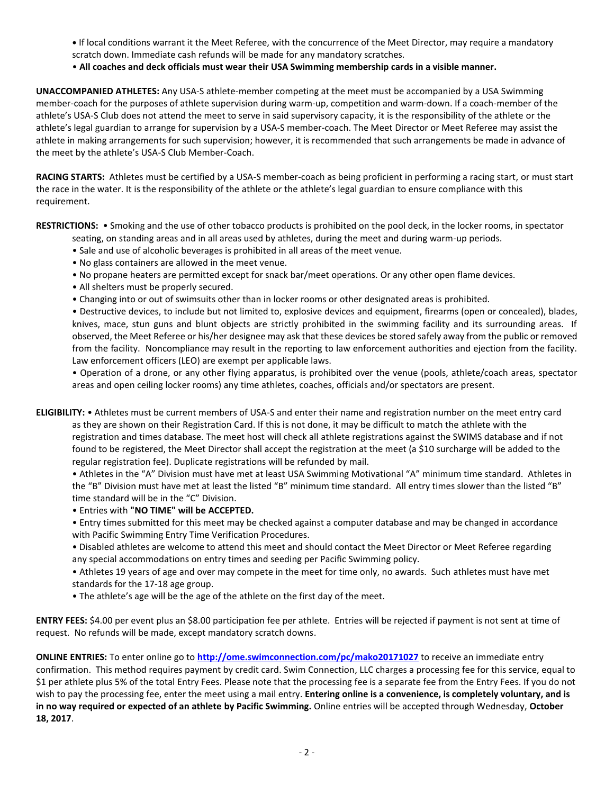- **•** If local conditions warrant it the Meet Referee, with the concurrence of the Meet Director, may require a mandatory scratch down. Immediate cash refunds will be made for any mandatory scratches.
- **All coaches and deck officials must wear their USA Swimming membership cards in a visible manner.**

**UNACCOMPANIED ATHLETES:** Any USA-S athlete-member competing at the meet must be accompanied by a USA Swimming member-coach for the purposes of athlete supervision during warm-up, competition and warm-down. If a coach-member of the athlete's USA-S Club does not attend the meet to serve in said supervisory capacity, it is the responsibility of the athlete or the athlete's legal guardian to arrange for supervision by a USA-S member-coach. The Meet Director or Meet Referee may assist the athlete in making arrangements for such supervision; however, it is recommended that such arrangements be made in advance of the meet by the athlete's USA-S Club Member-Coach.

**RACING STARTS:** Athletes must be certified by a USA-S member-coach as being proficient in performing a racing start, or must start the race in the water. It is the responsibility of the athlete or the athlete's legal guardian to ensure compliance with this requirement.

**RESTRICTIONS:** • Smoking and the use of other tobacco products is prohibited on the pool deck, in the locker rooms, in spectator seating, on standing areas and in all areas used by athletes, during the meet and during warm-up periods.

- Sale and use of alcoholic beverages is prohibited in all areas of the meet venue.
- No glass containers are allowed in the meet venue.
- No propane heaters are permitted except for snack bar/meet operations. Or any other open flame devices.
- All shelters must be properly secured.
- Changing into or out of swimsuits other than in locker rooms or other designated areas is prohibited.

• Destructive devices, to include but not limited to, explosive devices and equipment, firearms (open or concealed), blades, knives, mace, stun guns and blunt objects are strictly prohibited in the swimming facility and its surrounding areas. If observed, the Meet Referee or his/her designee may ask that these devices be stored safely away from the public or removed from the facility. Noncompliance may result in the reporting to law enforcement authorities and ejection from the facility. Law enforcement officers (LEO) are exempt per applicable laws.

• Operation of a drone, or any other flying apparatus, is prohibited over the venue (pools, athlete/coach areas, spectator areas and open ceiling locker rooms) any time athletes, coaches, officials and/or spectators are present.

**ELIGIBILITY:** • Athletes must be current members of USA-S and enter their name and registration number on the meet entry card

as they are shown on their Registration Card. If this is not done, it may be difficult to match the athlete with the registration and times database. The meet host will check all athlete registrations against the SWIMS database and if not found to be registered, the Meet Director shall accept the registration at the meet (a \$10 surcharge will be added to the regular registration fee). Duplicate registrations will be refunded by mail.

• Athletes in the "A" Division must have met at least USA Swimming Motivational "A" minimum time standard. Athletes in the "B" Division must have met at least the listed "B" minimum time standard. All entry times slower than the listed "B" time standard will be in the "C" Division.

## • Entries with **"NO TIME" will be ACCEPTED.**

• Entry times submitted for this meet may be checked against a computer database and may be changed in accordance with Pacific Swimming Entry Time Verification Procedures.

• Disabled athletes are welcome to attend this meet and should contact the Meet Director or Meet Referee regarding any special accommodations on entry times and seeding per Pacific Swimming policy.

• Athletes 19 years of age and over may compete in the meet for time only, no awards. Such athletes must have met standards for the 17-18 age group.

• The athlete's age will be the age of the athlete on the first day of the meet.

**ENTRY FEES:** \$4.00 per event plus an \$8.00 participation fee per athlete. Entries will be rejected if payment is not sent at time of request. No refunds will be made, except mandatory scratch downs.

**ONLINE ENTRIES:** To enter online go to **<http://ome.swimconnection.com/pc/mako20171027>** to receive an immediate entry confirmation. This method requires payment by credit card. Swim Connection, LLC charges a processing fee for this service, equal to \$1 per athlete plus 5% of the total Entry Fees. Please note that the processing fee is a separate fee from the Entry Fees. If you do not wish to pay the processing fee, enter the meet using a mail entry. **Entering online is a convenience, is completely voluntary, and is in no way required or expected of an athlete by Pacific Swimming.** Online entries will be accepted through Wednesday, **October 18, 2017**.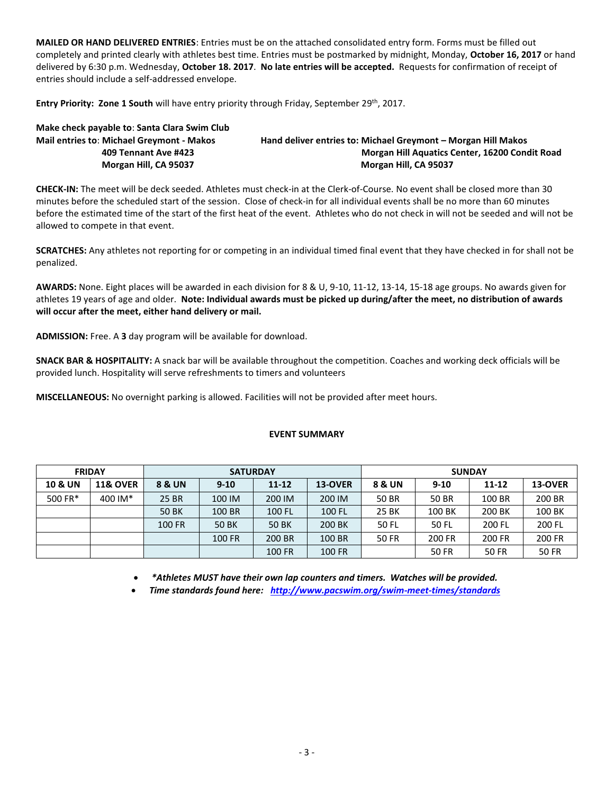**MAILED OR HAND DELIVERED ENTRIES**: Entries must be on the attached consolidated entry form. Forms must be filled out completely and printed clearly with athletes best time. Entries must be postmarked by midnight, Monday, **October 16, 2017** or hand delivered by 6:30 p.m. Wednesday, **October 18. 2017**. **No late entries will be accepted.** Requests for confirmation of receipt of entries should include a self-addressed envelope.

Entry Priority: Zone 1 South will have entry priority through Friday, September 29<sup>th</sup>, 2017.

**Make check payable to**: **Santa Clara Swim Club Mail entries to**: **Michael Greymont - Makos Hand deliver entries to: Michael Greymont – Morgan Hill Makos 409 Tennant Ave #423 Morgan Hill Aquatics Center, 16200 Condit Road Morgan Hill, CA 95037 Morgan Hill, CA 95037**

**CHECK-IN:** The meet will be deck seeded. Athletes must check-in at the Clerk-of-Course. No event shall be closed more than 30 minutes before the scheduled start of the session. Close of check-in for all individual events shall be no more than 60 minutes before the estimated time of the start of the first heat of the event. Athletes who do not check in will not be seeded and will not be allowed to compete in that event.

**SCRATCHES:** Any athletes not reporting for or competing in an individual timed final event that they have checked in for shall not be penalized.

**AWARDS:** None. Eight places will be awarded in each division for 8 & U, 9-10, 11-12, 13-14, 15-18 age groups. No awards given for athletes 19 years of age and older. **Note: Individual awards must be picked up during/after the meet, no distribution of awards will occur after the meet, either hand delivery or mail.**

**ADMISSION:** Free. A **3** day program will be available for download.

**SNACK BAR & HOSPITALITY:** A snack bar will be available throughout the competition. Coaches and working deck officials will be provided lunch. Hospitality will serve refreshments to timers and volunteers

**MISCELLANEOUS:** No overnight parking is allowed. Facilities will not be provided after meet hours.

## **EVENT SUMMARY**

| <b>FRIDAY</b>      |                     |              |          | <b>SATURDAY</b> |         | <b>SUNDAY</b> |          |        |              |  |  |
|--------------------|---------------------|--------------|----------|-----------------|---------|---------------|----------|--------|--------------|--|--|
| <b>10 &amp; UN</b> | <b>11&amp; OVER</b> | 8 & UN       | $9 - 10$ | $11 - 12$       | 13-OVER | 8 & UN        | $9 - 10$ | 11-12  | 13-OVER      |  |  |
| 500 FR*            | 400 IM*             | 25 BR        | 100 IM   | 200 IM          | 200 IM  | 50 BR         | 50 BR    | 100 BR | 200 BR       |  |  |
|                    |                     | <b>50 BK</b> | 100 BR   | 100 FL          | 100 FL  | 25 BK         | 100 BK   | 200 BK | 100 BK       |  |  |
|                    |                     | 100 FR       | 50 BK    | 50 BK           | 200 BK  | 50 FL         | 50 FL    | 200 FL | 200 FL       |  |  |
|                    |                     |              | 100 FR   | 200 BR          | 100 BR  | 50 FR         | 200 FR   | 200 FR | 200 FR       |  |  |
|                    |                     |              |          | 100 FR          | 100 FR  |               | 50 FR    | 50 FR  | <b>50 FR</b> |  |  |

*\*Athletes MUST have their own lap counters and timers. Watches will be provided.*

*Time standards found here: <http://www.pacswim.org/swim-meet-times/standards>*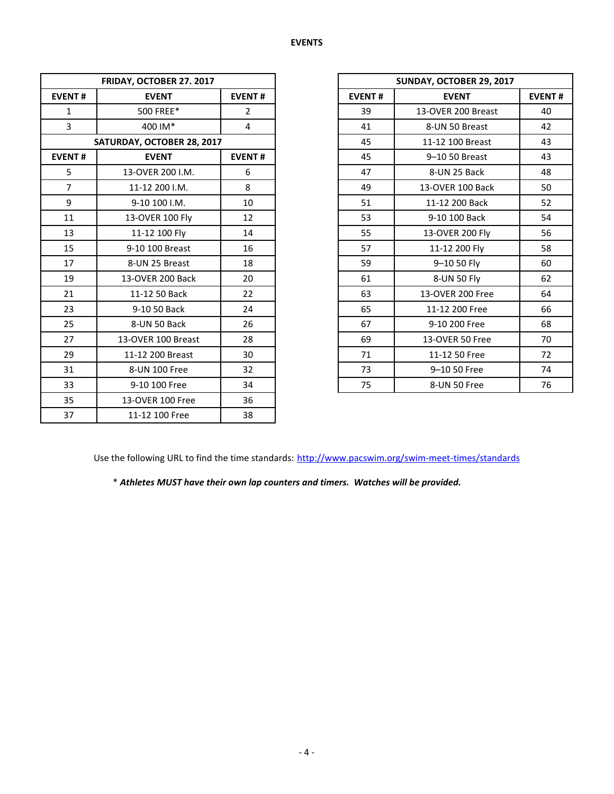|                | FRIDAY, OCTOBER 27. 2017   |                |               | SUNDAY, OCTOBER 29, 2017 |  |  |  |  |
|----------------|----------------------------|----------------|---------------|--------------------------|--|--|--|--|
| <b>EVENT#</b>  | <b>EVENT</b>               |                | <b>EVENT#</b> | <b>EVENT</b>             |  |  |  |  |
| $\mathbf{1}$   | 500 FREE*                  | $\overline{2}$ | 39            | 13-OVER 200 Breast       |  |  |  |  |
| 3              | 400 IM*                    | 4              | 41            | 8-UN 50 Breast           |  |  |  |  |
|                | SATURDAY, OCTOBER 28, 2017 |                | 45            | 11-12 100 Breast         |  |  |  |  |
| <b>EVENT#</b>  | <b>EVENT</b>               | <b>EVENT#</b>  | 45            | 9-10 50 Breast           |  |  |  |  |
| 5              | 13-OVER 200 I.M.           | 6              | 47            | 8-UN 25 Back             |  |  |  |  |
| $\overline{7}$ | 11-12 200 I.M.             | 8              | 49            | 13-OVER 100 Back         |  |  |  |  |
| 9              | 9-10 100 I.M.              | 10             | 51            | 11-12 200 Back           |  |  |  |  |
| 11             | 13-OVER 100 Fly            | 12             | 53            | 9-10 100 Back            |  |  |  |  |
| 13             | 11-12 100 Fly              | 14             | 55            | 13-OVER 200 Fly          |  |  |  |  |
| 15             | 9-10 100 Breast            | 16             | 57            | 11-12 200 Fly            |  |  |  |  |
| 17             | 8-UN 25 Breast             | 18             | 59            | 9-10 50 Fly              |  |  |  |  |
| 19             | 13-OVER 200 Back           | 20             | 61            | 8-UN 50 Fly              |  |  |  |  |
| 21             | 11-12 50 Back              | 22             | 63            | 13-OVER 200 Free         |  |  |  |  |
| 23             | 9-10 50 Back               | 24             | 65            | 11-12 200 Free           |  |  |  |  |
| 25             | 8-UN 50 Back               | 26             | 67            | 9-10 200 Free            |  |  |  |  |
| 27             | 13-OVER 100 Breast         | 28             | 69            | 13-OVER 50 Free          |  |  |  |  |
| 29             | 11-12 200 Breast           | 30             | 71            | 11-12 50 Free            |  |  |  |  |
| 31             | 8-UN 100 Free              | 32             | 73            | 9-10 50 Free             |  |  |  |  |
| 33             | 9-10 100 Free              | 34             | 75            | 8-UN 50 Free             |  |  |  |  |
| 35             | 13-OVER 100 Free           | 36             |               |                          |  |  |  |  |
| 37             | 11-12 100 Free             | 38             |               |                          |  |  |  |  |

| FRIDAY, OCTOBER 27. 2017   |                    |                |  |  |
|----------------------------|--------------------|----------------|--|--|
| <b>EVENT#</b>              | <b>EVENT</b>       | <b>EVENT#</b>  |  |  |
| 1                          | 500 FREE*          | $\overline{2}$ |  |  |
| 3                          | 400 IM*            | 4              |  |  |
| SATURDAY, OCTOBER 28, 2017 |                    |                |  |  |
| <b>EVENT#</b>              | <b>EVENT#</b>      |                |  |  |
| 5                          | 13-OVER 200 I.M.   | 6              |  |  |
| $\overline{7}$             | 11-12 200 I.M.     | 8              |  |  |
| 9                          | 9-10 100 I.M.      | 10             |  |  |
| 11                         | 13-OVER 100 Fly    | 12             |  |  |
| 13                         | 11-12 100 Fly      | 14             |  |  |
| 15                         | 9-10 100 Breast    | 16             |  |  |
| 17                         | 8-UN 25 Breast     | 18             |  |  |
| 19                         | 13-OVER 200 Back   | 20             |  |  |
| 21                         | 11-12 50 Back      | 22             |  |  |
| 23                         | 9-10 50 Back       | 24             |  |  |
| 25                         | 8-UN 50 Back       | 26             |  |  |
| 27                         | 13-OVER 100 Breast | 28             |  |  |
| 29                         | 11-12 200 Breast   | 30             |  |  |
| 31                         | 8-UN 100 Free      | 32             |  |  |
| 33                         | 9-10 100 Free      | 34             |  |  |

Use the following URL to find the time standards: <http://www.pacswim.org/swim-meet-times/standards>

\* *Athletes MUST have their own lap counters and timers. Watches will be provided.*